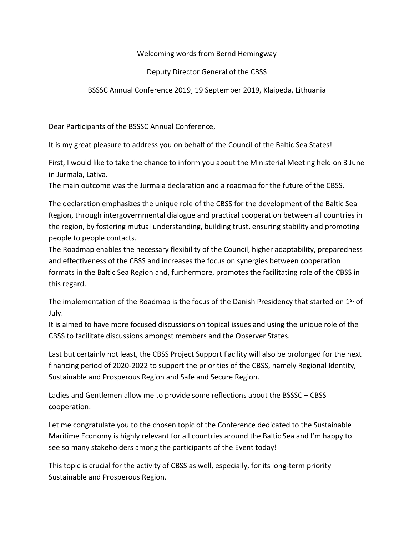## Welcoming words from Bernd Hemingway

## Deputy Director General of the CBSS

## BSSSC Annual Conference 2019, 19 September 2019, Klaipeda, Lithuania

Dear Participants of the BSSSC Annual Conference,

It is my great pleasure to address you on behalf of the Council of the Baltic Sea States!

First, I would like to take the chance to inform you about the Ministerial Meeting held on 3 June in Jurmala, Lativa.

The main outcome was the Jurmala declaration and a roadmap for the future of the CBSS.

The declaration emphasizes the unique role of the CBSS for the development of the Baltic Sea Region, through intergovernmental dialogue and practical cooperation between all countries in the region, by fostering mutual understanding, building trust, ensuring stability and promoting people to people contacts.

The Roadmap enables the necessary flexibility of the Council, higher adaptability, preparedness and effectiveness of the CBSS and increases the focus on synergies between cooperation formats in the Baltic Sea Region and, furthermore, promotes the facilitating role of the CBSS in this regard.

The implementation of the Roadmap is the focus of the Danish Presidency that started on  $1<sup>st</sup>$  of July.

It is aimed to have more focused discussions on topical issues and using the unique role of the CBSS to facilitate discussions amongst members and the Observer States.

Last but certainly not least, the CBSS Project Support Facility will also be prolonged for the next financing period of 2020-2022 to support the priorities of the CBSS, namely Regional Identity, Sustainable and Prosperous Region and Safe and Secure Region.

Ladies and Gentlemen allow me to provide some reflections about the BSSSC – CBSS cooperation.

Let me congratulate you to the chosen topic of the Conference dedicated to the Sustainable Maritime Economy is highly relevant for all countries around the Baltic Sea and I'm happy to see so many stakeholders among the participants of the Event today!

This topic is crucial for the activity of CBSS as well, especially, for its long-term priority Sustainable and Prosperous Region.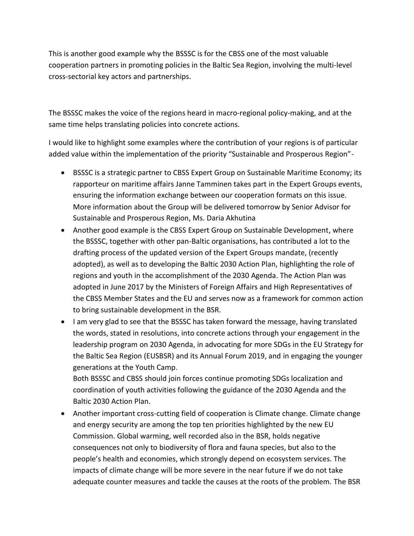This is another good example why the BSSSC is for the CBSS one of the most valuable cooperation partners in promoting policies in the Baltic Sea Region, involving the multi-level cross-sectorial key actors and partnerships.

The BSSSC makes the voice of the regions heard in macro-regional policy-making, and at the same time helps translating policies into concrete actions.

I would like to highlight some examples where the contribution of your regions is of particular added value within the implementation of the priority "Sustainable and Prosperous Region"-

- BSSSC is a strategic partner to CBSS Expert Group on Sustainable Maritime Economy; its rapporteur on maritime affairs Janne Tamminen takes part in the Expert Groups events, ensuring the information exchange between our cooperation formats on this issue. More information about the Group will be delivered tomorrow by Senior Advisor for Sustainable and Prosperous Region, Ms. Daria Akhutina
- Another good example is the CBSS Expert Group on Sustainable Development, where the BSSSC, together with other pan-Baltic organisations, has contributed a lot to the drafting process of the updated version of the Expert Groups mandate, (recently adopted), as well as to developing the Baltic 2030 Action Plan, highlighting the role of regions and youth in the accomplishment of the 2030 Agenda. The Action Plan was adopted in June 2017 by the Ministers of Foreign Affairs and High Representatives of the CBSS Member States and the EU and serves now as a framework for common action to bring sustainable development in the BSR.
- I am very glad to see that the BSSSC has taken forward the message, having translated the words, stated in resolutions, into concrete actions through your engagement in the leadership program on 2030 Agenda, in advocating for more SDGs in the EU Strategy for the Baltic Sea Region (EUSBSR) and its Annual Forum 2019, and in engaging the younger generations at the Youth Camp.

Both BSSSC and CBSS should join forces continue promoting SDGs localization and coordination of youth activities following the guidance of the 2030 Agenda and the Baltic 2030 Action Plan.

• Another important cross-cutting field of cooperation is Climate change. Climate change and energy security are among the top ten priorities highlighted by the new EU Commission. Global warming, well recorded also in the BSR, holds negative consequences not only to biodiversity of flora and fauna species, but also to the people's health and economies, which strongly depend on ecosystem services. The impacts of climate change will be more severe in the near future if we do not take adequate counter measures and tackle the causes at the roots of the problem. The BSR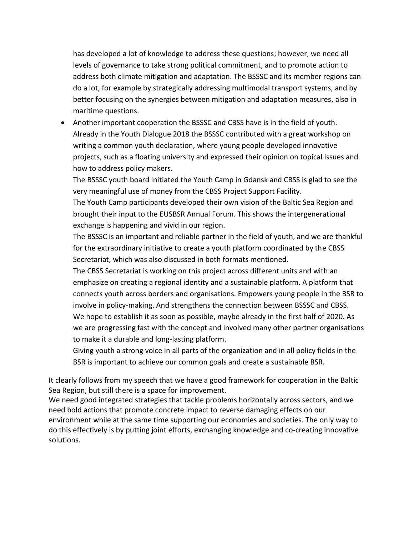has developed a lot of knowledge to address these questions; however, we need all levels of governance to take strong political commitment, and to promote action to address both climate mitigation and adaptation. The BSSSC and its member regions can do a lot, for example by strategically addressing multimodal transport systems, and by better focusing on the synergies between mitigation and adaptation measures, also in maritime questions.

• Another important cooperation the BSSSC and CBSS have is in the field of youth. Already in the Youth Dialogue 2018 the BSSSC contributed with a great workshop on writing a common youth declaration, where young people developed innovative projects, such as a floating university and expressed their opinion on topical issues and how to address policy makers.

The BSSSC youth board initiated the Youth Camp in Gdansk and CBSS is glad to see the very meaningful use of money from the CBSS Project Support Facility.

The Youth Camp participants developed their own vision of the Baltic Sea Region and brought their input to the EUSBSR Annual Forum. This shows the intergenerational exchange is happening and vivid in our region.

The BSSSC is an important and reliable partner in the field of youth, and we are thankful for the extraordinary initiative to create a youth platform coordinated by the CBSS Secretariat, which was also discussed in both formats mentioned.

The CBSS Secretariat is working on this project across different units and with an emphasize on creating a regional identity and a sustainable platform. A platform that connects youth across borders and organisations. Empowers young people in the BSR to involve in policy-making. And strengthens the connection between BSSSC and CBSS. We hope to establish it as soon as possible, maybe already in the first half of 2020. As we are progressing fast with the concept and involved many other partner organisations to make it a durable and long-lasting platform.

Giving youth a strong voice in all parts of the organization and in all policy fields in the BSR is important to achieve our common goals and create a sustainable BSR.

It clearly follows from my speech that we have a good framework for cooperation in the Baltic Sea Region, but still there is a space for improvement.

We need good integrated strategies that tackle problems horizontally across sectors, and we need bold actions that promote concrete impact to reverse damaging effects on our environment while at the same time supporting our economies and societies. The only way to do this effectively is by putting joint efforts, exchanging knowledge and co-creating innovative solutions.